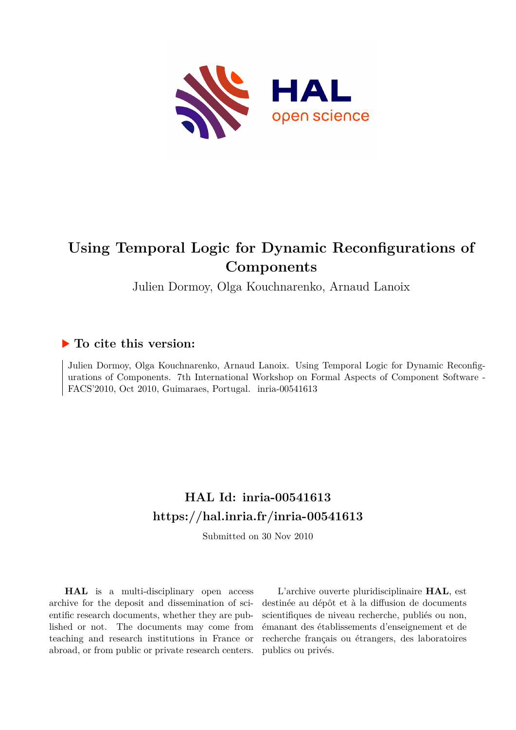

# **Using Temporal Logic for Dynamic Reconfigurations of Components**

Julien Dormoy, Olga Kouchnarenko, Arnaud Lanoix

## **To cite this version:**

Julien Dormoy, Olga Kouchnarenko, Arnaud Lanoix. Using Temporal Logic for Dynamic Reconfigurations of Components. 7th International Workshop on Formal Aspects of Component Software - FACS'2010, Oct 2010, Guimaraes, Portugal. inria-00541613

# **HAL Id: inria-00541613 <https://hal.inria.fr/inria-00541613>**

Submitted on 30 Nov 2010

**HAL** is a multi-disciplinary open access archive for the deposit and dissemination of scientific research documents, whether they are published or not. The documents may come from teaching and research institutions in France or abroad, or from public or private research centers.

L'archive ouverte pluridisciplinaire **HAL**, est destinée au dépôt et à la diffusion de documents scientifiques de niveau recherche, publiés ou non, émanant des établissements d'enseignement et de recherche français ou étrangers, des laboratoires publics ou privés.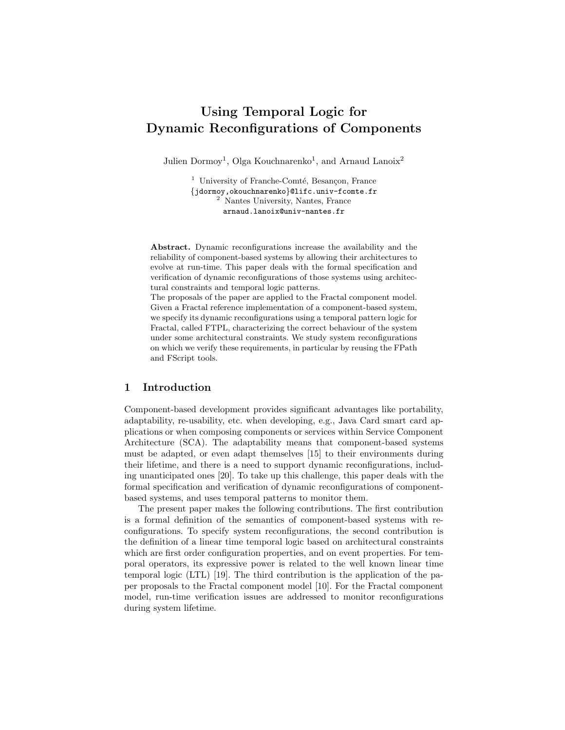## Using Temporal Logic for Dynamic Reconfigurations of Components

Julien Dormoy<sup>1</sup>, Olga Kouchnarenko<sup>1</sup>, and Arnaud Lanoix<sup>2</sup>

 $1$  University of Franche-Comté, Besançon, France {jdormoy,okouchnarenko}@lifc.univ-fcomte.fr <sup>2</sup> Nantes University, Nantes, France arnaud.lanoix@univ-nantes.fr

Abstract. Dynamic reconfigurations increase the availability and the reliability of component-based systems by allowing their architectures to evolve at run-time. This paper deals with the formal specification and verification of dynamic reconfigurations of those systems using architectural constraints and temporal logic patterns.

The proposals of the paper are applied to the Fractal component model. Given a Fractal reference implementation of a component-based system, we specify its dynamic reconfigurations using a temporal pattern logic for Fractal, called FTPL, characterizing the correct behaviour of the system under some architectural constraints. We study system reconfigurations on which we verify these requirements, in particular by reusing the FPath and FScript tools.

## 1 Introduction

Component-based development provides significant advantages like portability, adaptability, re-usability, etc. when developing, e.g., Java Card smart card applications or when composing components or services within Service Component Architecture (SCA). The adaptability means that component-based systems must be adapted, or even adapt themselves [15] to their environments during their lifetime, and there is a need to support dynamic reconfigurations, including unanticipated ones [20]. To take up this challenge, this paper deals with the formal specification and verification of dynamic reconfigurations of componentbased systems, and uses temporal patterns to monitor them.

The present paper makes the following contributions. The first contribution is a formal definition of the semantics of component-based systems with reconfigurations. To specify system reconfigurations, the second contribution is the definition of a linear time temporal logic based on architectural constraints which are first order configuration properties, and on event properties. For temporal operators, its expressive power is related to the well known linear time temporal logic (LTL) [19]. The third contribution is the application of the paper proposals to the Fractal component model [10]. For the Fractal component model, run-time verification issues are addressed to monitor reconfigurations during system lifetime.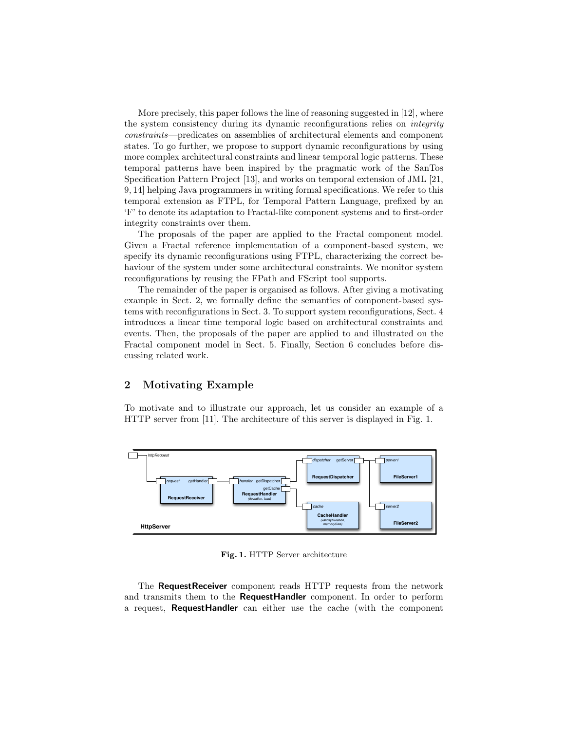More precisely, this paper follows the line of reasoning suggested in [12], where the system consistency during its dynamic reconfigurations relies on integrity constraints—predicates on assemblies of architectural elements and component states. To go further, we propose to support dynamic reconfigurations by using more complex architectural constraints and linear temporal logic patterns. These temporal patterns have been inspired by the pragmatic work of the SanTos Specification Pattern Project [13], and works on temporal extension of JML [21, 9, 14] helping Java programmers in writing formal specifications. We refer to this temporal extension as FTPL, for Temporal Pattern Language, prefixed by an 'F' to denote its adaptation to Fractal-like component systems and to first-order integrity constraints over them.

The proposals of the paper are applied to the Fractal component model. Given a Fractal reference implementation of a component-based system, we specify its dynamic reconfigurations using FTPL, characterizing the correct behaviour of the system under some architectural constraints. We monitor system reconfigurations by reusing the FPath and FScript tool supports.

The remainder of the paper is organised as follows. After giving a motivating example in Sect. 2, we formally define the semantics of component-based systems with reconfigurations in Sect. 3. To support system reconfigurations, Sect. 4 introduces a linear time temporal logic based on architectural constraints and events. Then, the proposals of the paper are applied to and illustrated on the Fractal component model in Sect. 5. Finally, Section 6 concludes before discussing related work.

## 2 Motivating Example

To motivate and to illustrate our approach, let us consider an example of a HTTP server from [11]. The architecture of this server is displayed in Fig. 1.



Fig. 1. HTTP Server architecture

The **RequestReceiver** component reads HTTP requests from the network and transmits them to the RequestHandler component. In order to perform a request, RequestHandler can either use the cache (with the component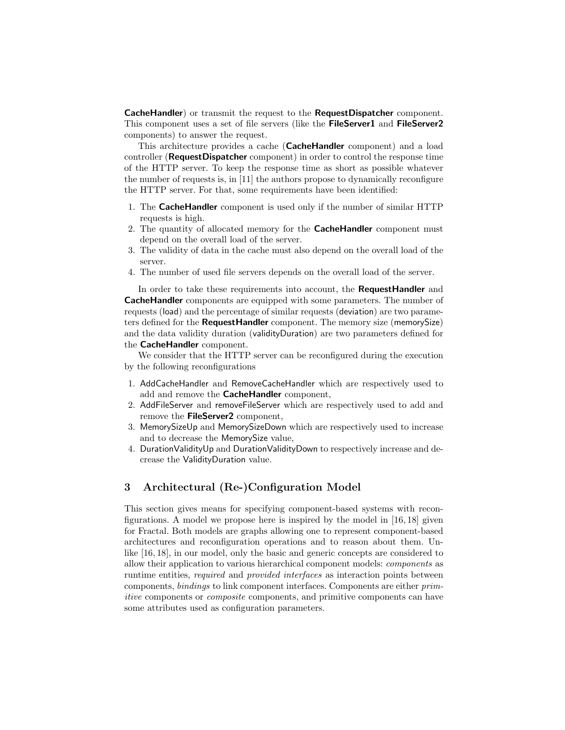CacheHandler) or transmit the request to the RequestDispatcher component. This component uses a set of file servers (like the FileServer1 and FileServer2 components) to answer the request.

This architecture provides a cache (CacheHandler component) and a load controller (**RequestDispatcher** component) in order to control the response time of the HTTP server. To keep the response time as short as possible whatever the number of requests is, in [11] the authors propose to dynamically reconfigure the HTTP server. For that, some requirements have been identified:

- 1. The CacheHandler component is used only if the number of similar HTTP requests is high.
- 2. The quantity of allocated memory for the **CacheHandler** component must depend on the overall load of the server.
- 3. The validity of data in the cache must also depend on the overall load of the server.
- 4. The number of used file servers depends on the overall load of the server.

In order to take these requirements into account, the **RequestHandler** and CacheHandler components are equipped with some parameters. The number of requests (load) and the percentage of similar requests (deviation) are two parameters defined for the **RequestHandler** component. The memory size (memorySize) and the data validity duration (validityDuration) are two parameters defined for the CacheHandler component.

We consider that the HTTP server can be reconfigured during the execution by the following reconfigurations

- 1. AddCacheHandler and RemoveCacheHandler which are respectively used to add and remove the CacheHandler component,
- 2. AddFileServer and removeFileServer which are respectively used to add and remove the FileServer2 component,
- 3. MemorySizeUp and MemorySizeDown which are respectively used to increase and to decrease the MemorySize value,
- 4. DurationValidityUp and DurationValidityDown to respectively increase and decrease the ValidityDuration value.

## 3 Architectural (Re-)Configuration Model

This section gives means for specifying component-based systems with reconfigurations. A model we propose here is inspired by the model in [16, 18] given for Fractal. Both models are graphs allowing one to represent component-based architectures and reconfiguration operations and to reason about them. Unlike [16, 18], in our model, only the basic and generic concepts are considered to allow their application to various hierarchical component models: components as runtime entities, required and provided interfaces as interaction points between components, bindings to link component interfaces. Components are either primitive components or *composite* components, and primitive components can have some attributes used as configuration parameters.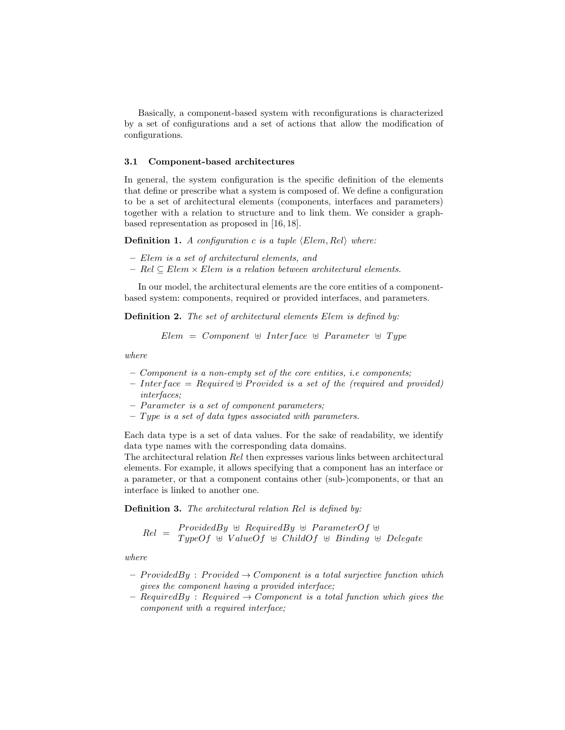Basically, a component-based system with reconfigurations is characterized by a set of configurations and a set of actions that allow the modification of configurations.

#### 3.1 Component-based architectures

In general, the system configuration is the specific definition of the elements that define or prescribe what a system is composed of. We define a configuration to be a set of architectural elements (components, interfaces and parameters) together with a relation to structure and to link them. We consider a graphbased representation as proposed in [16, 18].

**Definition 1.** A configuration c is a tuple  $\langle Element, Rel \rangle$  where:

- Elem is a set of architectural elements, and
- $−$  Rel  $≤$  Elem  $×$  Elem is a relation between architectural elements.

In our model, the architectural elements are the core entities of a componentbased system: components, required or provided interfaces, and parameters.

Definition 2. The set of architectural elements Elem is defined by:

 $Element \oplus Internet \oplus Parameter \oplus Type$ 

where

- $-$  Component is a non-empty set of the core entities, i.e components;
- Interface = Required  $\oplus$  Provided is a set of the (required and provided) interfaces;
- $-$  Parameter is a set of component parameters;
- $-$  Type is a set of data types associated with parameters.

Each data type is a set of data values. For the sake of readability, we identify data type names with the corresponding data domains.

The architectural relation Rel then expresses various links between architectural elements. For example, it allows specifying that a component has an interface or a parameter, or that a component contains other (sub-)components, or that an interface is linked to another one.

Definition 3. The architectural relation Rel is defined by:

$$
Rel = \begin{array}{l} ProvidedBy \ \oplus \ \operatorname{RequiredBy} \ \oplus \ \operatorname{ParameterOf} \ \oplus \\ TypeOf \ \oplus \ \operatorname{ValueOf} \ \oplus \ \operatorname{ChildOf} \ \oplus \ \operatorname{Binding} \ \oplus \ \operatorname{Delegate} \end{array}
$$

where

- $-$  ProvidedBy : Provided  $\rightarrow$  Component is a total surjective function which gives the component having a provided interface;
- $-$  RequiredBy : Required  $\rightarrow$  Component is a total function which gives the component with a required interface;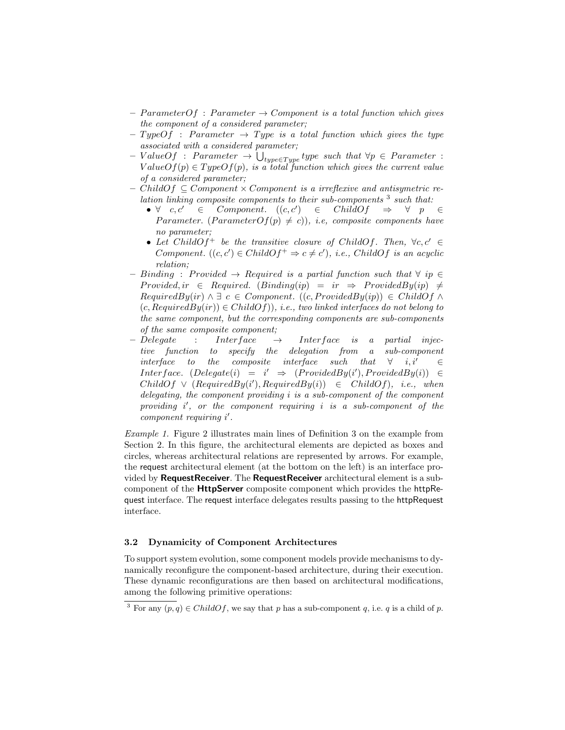- $-$  ParameterOf : Parameter  $\rightarrow$  Component is a total function which gives the component of a considered parameter;
- $TypeOf : Parameter \rightarrow Type$  is a total function which gives the type associated with a considered parameter;
- $-$  ValueOf : Parameter  $\rightarrow \bigcup_{type \in Type} type$  such that  $\forall p \in Parameter$  :  $ValueOf(p) \in TypeOf(p)$ , is a total function which gives the current value of a considered parameter;
- $− ChildOf \subseteq Component \times Component$  is a irreflexive and antisymetric relation linking composite components to their sub-components  $3$  such that:
	- $\bullet \forall c, c' \in \text{Component.} \quad ((c, c') \in \text{ChildOf} \Rightarrow \forall p \in \text{�}$ Parameter. (Parameter $Of(p) \neq c$ )), i.e, composite components have no parameter;
	- Let ChildOf<sup>+</sup> be the transitive closure of ChildOf. Then,  $\forall c, c' \in$ Component.  $((c, c') \in ChildOf^+ \Rightarrow c \neq c')$ , i.e., ChildOf is an acyclic relation;
- Binding : Provided  $\rightarrow$  Required is a partial function such that  $\forall$  ip ∈ Provided, ir  $\in$  Required. (Binding(ip) = ir  $\Rightarrow$  Provided By(ip)  $\neq$  $RequiredBy(ir) \wedge \exists c \in Component.$   $((c, ProvidedBy(ip)) \in ChildOf \wedge$  $(c, RequiredBy(ir)) \in ChildOf$ ), i.e., two linked interfaces do not belong to the same component, but the corresponding components are sub-components of the same composite component;
- $Delegate$  : Interface  $\rightarrow$  Interface is a partial injective function to specify the delegation from a sub-component interface to the composite interface such that  $\forall i, i' \in$  $Interface. (Delegate(i) = i' \Rightarrow (ProvidedBy(i'), ProvidedBy(i)) \in$  $ChildOf \vee (RequiredBy(i'), RequiredBy(i)) \in ChildOf$ , i.e., when delegating, the component providing i is a sub-component of the component providing i', or the component requiring i is a sub-component of the  $component$  requiring  $i'$ .

Example 1. Figure 2 illustrates main lines of Definition 3 on the example from Section 2. In this figure, the architectural elements are depicted as boxes and circles, whereas architectural relations are represented by arrows. For example, the request architectural element (at the bottom on the left) is an interface provided by RequestReceiver. The RequestReceiver architectural element is a subcomponent of the **HttpServer** composite component which provides the httpRequest interface. The request interface delegates results passing to the httpRequest interface.

### 3.2 Dynamicity of Component Architectures

To support system evolution, some component models provide mechanisms to dynamically reconfigure the component-based architecture, during their execution. These dynamic reconfigurations are then based on architectural modifications, among the following primitive operations:

<sup>&</sup>lt;sup>3</sup> For any  $(p, q) \in ChildOf$ , we say that p has a sub-component q, i.e. q is a child of p.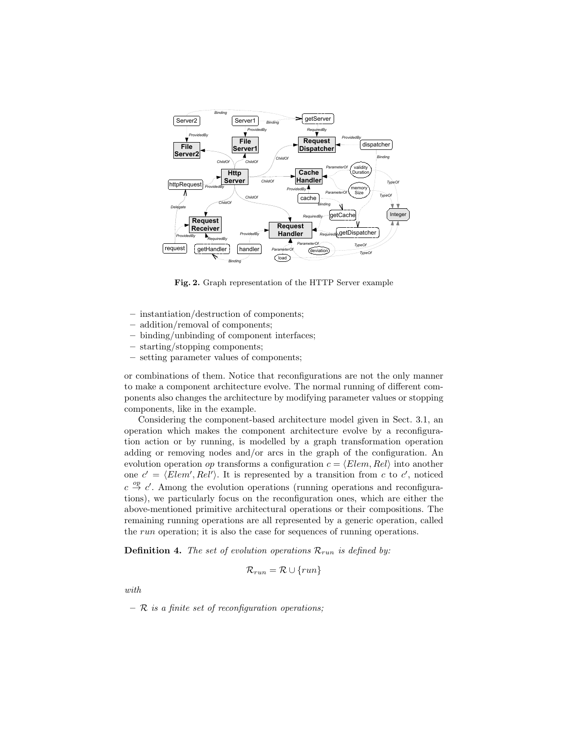

Fig. 2. Graph representation of the HTTP Server example

- instantiation/destruction of components;
- addition/removal of components;
- binding/unbinding of component interfaces;
- starting/stopping components;
- setting parameter values of components;

or combinations of them. Notice that reconfigurations are not the only manner to make a component architecture evolve. The normal running of different components also changes the architecture by modifying parameter values or stopping components, like in the example.

Considering the component-based architecture model given in Sect. 3.1, an operation which makes the component architecture evolve by a reconfiguration action or by running, is modelled by a graph transformation operation adding or removing nodes and/or arcs in the graph of the configuration. An evolution operation op transforms a configuration  $c = \langle Element, Rel \rangle$  into another one  $c' = \langle Element, Rel'\rangle$ . It is represented by a transition from c to c', noticed  $c \stackrel{op}{\rightarrow} c'$ . Among the evolution operations (running operations and reconfigurations), we particularly focus on the reconfiguration ones, which are either the above-mentioned primitive architectural operations or their compositions. The remaining running operations are all represented by a generic operation, called the run operation; it is also the case for sequences of running operations.

**Definition 4.** The set of evolution operations  $\mathcal{R}_{run}$  is defined by:

$$
\mathcal{R}_{run} = \mathcal{R} \cup \{run\}
$$

with

 $-$  R is a finite set of reconfiguration operations;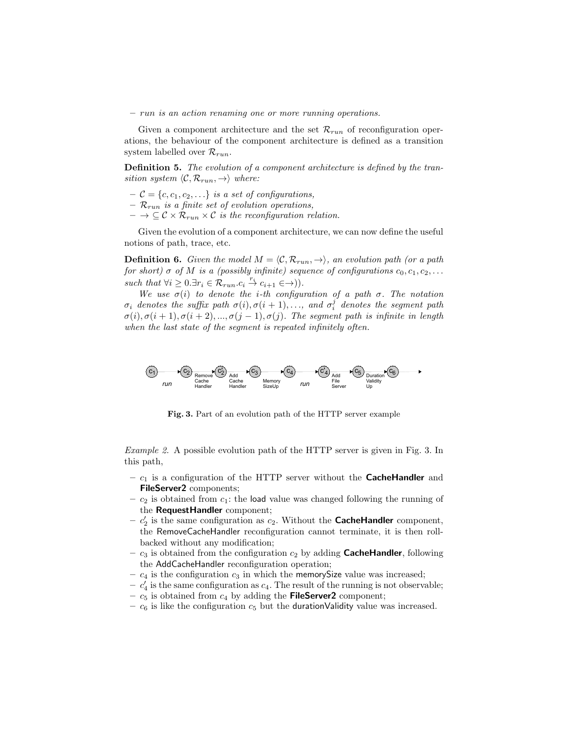– run is an action renaming one or more running operations.

Given a component architecture and the set  $\mathcal{R}_{run}$  of reconfiguration operations, the behaviour of the component architecture is defined as a transition system labelled over  $\mathcal{R}_{run}$ .

**Definition 5.** The evolution of a component architecture is defined by the transition system  $\langle C, \mathcal{R}_{run}, \rightarrow \rangle$  where:

- $\mathcal{C} = \{c, c_1, c_2, \ldots\}$  is a set of configurations,
- $\mathcal{R}_{run}$  is a finite set of evolution operations,
- $-\rightarrow\subseteq\mathcal{C}\times\mathcal{R}_{run}\times\mathcal{C}$  is the reconfiguration relation.

Given the evolution of a component architecture, we can now define the useful notions of path, trace, etc.

**Definition 6.** Given the model  $M = \langle C, \mathcal{R}_{run}, \rightarrow \rangle$ , an evolution path (or a path for short)  $\sigma$  of M is a (possibly infinite) sequence of configurations  $c_0, c_1, c_2, \ldots$ such that  $\forall i \geq 0. \exists r_i \in \mathcal{R}_{run}. c_i \stackrel{r_i}{\rightarrow} c_{i+1} \in \rightarrow).$ 

We use  $\sigma(i)$  to denote the *i*-th configuration of a path  $\sigma$ . The notation  $\sigma_i$  denotes the suffix path  $\sigma(i), \sigma(i + 1), \ldots$ , and  $\sigma_i^j$  denotes the segment path  $\sigma(i), \sigma(i+1), \sigma(i+2), ..., \sigma(j-1), \sigma(j)$ . The segment path is infinite in length when the last state of the segment is repeated infinitely often.



Fig. 3. Part of an evolution path of the HTTP server example

Example 2. A possible evolution path of the HTTP server is given in Fig. 3. In this path,

- $c_1$  is a configuration of the HTTP server without the **CacheHandler** and FileServer2 components;
- $c_2$  is obtained from  $c_1$ : the load value was changed following the running of the RequestHandler component;
- $-c'_2$  is the same configuration as  $c_2$ . Without the **CacheHandler** component, the RemoveCacheHandler reconfiguration cannot terminate, it is then rollbacked without any modification;
- $c_3$  is obtained from the configuration  $c_2$  by adding **CacheHandler**, following the AddCacheHandler reconfiguration operation;
- $c_4$  is the configuration  $c_3$  in which the memorySize value was increased;
- $-c'_4$  is the same configuration as  $c_4$ . The result of the running is not observable;
- $c_5$  is obtained from  $c_4$  by adding the **FileServer2** component;
- $c_6$  is like the configuration  $c_5$  but the durationValidity value was increased.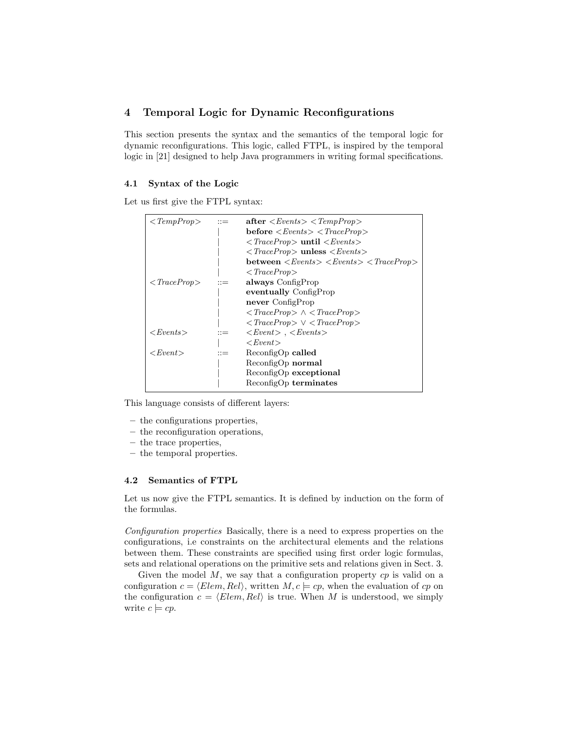## 4 Temporal Logic for Dynamic Reconfigurations

This section presents the syntax and the semantics of the temporal logic for dynamic reconfigurations. This logic, called FTPL, is inspired by the temporal logic in [21] designed to help Java programmers in writing formal specifications.

## 4.1 Syntax of the Logic

Let us first give the FTPL syntax:

| $\langle TempProp \rangle$  | $::=$                 | $after < \leq Events > $                                                                     |
|-----------------------------|-----------------------|----------------------------------------------------------------------------------------------|
|                             |                       | $before < Events > \langle TraceProp \rangle$                                                |
|                             |                       | $\langle TraceProp \rangle$ until $\langle Events \rangle$                                   |
|                             |                       | $\langle TraceProp \rangle$ unless $\langle Events \rangle$                                  |
|                             |                       | <b>between</b> $\langle Events \rangle$ $\langle Events \rangle$ $\langle TraceProp \rangle$ |
|                             |                       | $\langle TraceProp \rangle$                                                                  |
| $\langle TraceProp \rangle$ | $\therefore =$        | always ConfigProp                                                                            |
|                             |                       | eventually ConfigProp                                                                        |
|                             |                       | never ConfigProp                                                                             |
|                             |                       | $\langle TraceProp \rangle \wedge \langle TraceProp \rangle$                                 |
|                             |                       | $\langle TraceProp \rangle \lor \langle TraceProp \rangle$                                   |
| $\langle$ Events            | $\mathrel{\mathop:}=$ | $\langle Event \rangle$ , $\langle Events \rangle$                                           |
|                             |                       | $\langle Event \rangle$                                                                      |
| $\langle Event \rangle$     | $\mathbf{r} =$        | ReconfigOp called                                                                            |
|                             |                       | ReconfigOp normal                                                                            |
|                             |                       | ReconfigOp exceptional                                                                       |
|                             |                       | ReconfigOp terminates                                                                        |

This language consists of different layers:

- the configurations properties,
- the reconfiguration operations,
- the trace properties,
- the temporal properties.

#### 4.2 Semantics of FTPL

Let us now give the FTPL semantics. It is defined by induction on the form of the formulas.

Configuration properties Basically, there is a need to express properties on the configurations, i.e constraints on the architectural elements and the relations between them. These constraints are specified using first order logic formulas, sets and relational operations on the primitive sets and relations given in Sect. 3.

Given the model  $M$ , we say that a configuration property  $cp$  is valid on a configuration  $c = \langle Element, Rel \rangle$ , written  $M, c \models cp$ , when the evaluation of cp on the configuration  $c = \langle Element, Rel \rangle$  is true. When M is understood, we simply write  $c \models cp$ .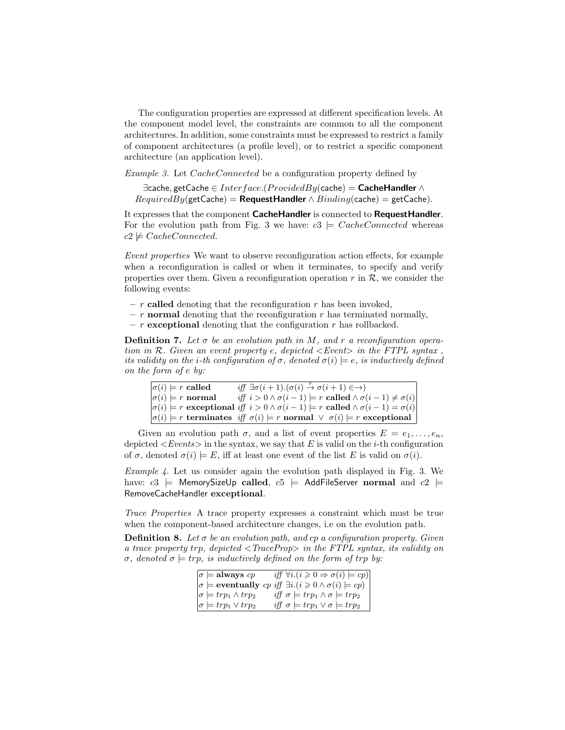The configuration properties are expressed at different specification levels. At the component model level, the constraints are common to all the component architectures. In addition, some constraints must be expressed to restrict a family of component architectures (a profile level), or to restrict a specific component architecture (an application level).

Example 3. Let CacheConnected be a configuration property defined by

∃cache, getCache ∈  $Interface.(ProvidedBy$ (cache) = **CacheHandler** ∧  $RequiredBy$ (getCache) = **RequestHandler**  $\land Binding$ (cache) = getCache).

It expresses that the component CacheHandler is connected to RequestHandler. For the evolution path from Fig. 3 we have:  $c3 \models CacheConnected$  whereas  $c2 \not\models CacheConnected.$ 

Event properties We want to observe reconfiguration action effects, for example when a reconfiguration is called or when it terminates, to specify and verify properties over them. Given a reconfiguration operation r in  $\mathcal{R}$ , we consider the following events:

- $r$  called denoting that the reconfiguration r has been invoked,
- $r$  normal denoting that the reconfiguration  $r$  has terminated normally,
- $r$  exceptional denoting that the configuration  $r$  has rollbacked.

**Definition 7.** Let  $\sigma$  be an evolution path in M, and r a reconfiguration operation in  $\mathcal R$ . Given an event property e, depicted  $\langle Event \rangle$  in the FTPL syntax, its validity on the i-th configuration of  $\sigma$ , denoted  $\sigma(i) \models e$ , is inductively defined on the form of e by:

| $\sigma(i) \models r$ called         | iff $\exists \sigma(i+1).(\sigma(i) \stackrel{r}{\rightarrow} \sigma(i+1) \in \rightarrow)$                      |
|--------------------------------------|------------------------------------------------------------------------------------------------------------------|
| $\sigma(i) \models r \text{ normal}$ | iff $i > 0 \wedge \sigma(i-1) \models r$ called $\wedge \sigma(i-1) \neq \sigma(i)$                              |
|                                      | $\sigma(i) \models r$ exceptional iff $i > 0 \land \sigma(i-1) \models r$ called $\land \sigma(i-1) = \sigma(i)$ |
|                                      | $\sigma(i) \models r$ terminates iff $\sigma(i) \models r$ normal $\lor \sigma(i) \models r$ exceptional         |

Given an evolution path  $\sigma$ , and a list of event properties  $E = e_1, \ldots, e_n$ , depicted  $\langle Events\rangle$  in the syntax, we say that E is valid on the *i*-th configuration of  $\sigma$ , denoted  $\sigma(i) \models E$ , iff at least one event of the list E is valid on  $\sigma(i)$ .

Example 4. Let us consider again the evolution path displayed in Fig. 3. We have:  $c3 \models$  MemorySizeUp called,  $c5 \models$  AddFileServer normal and  $c2 \models$ RemoveCacheHandler exceptional.

Trace Properties A trace property expresses a constraint which must be true when the component-based architecture changes, i.e on the evolution path.

**Definition 8.** Let  $\sigma$  be an evolution path, and cp a configuration property. Given a trace property trp, depicted  $\langle TraceProp \rangle$  in the FTPL syntax, its validity on  $\sigma$ , denoted  $\sigma \models trp$ , is inductively defined on the form of trp by:

| $\sigma$ = always $cp$            | iff $\forall i.(i \geq 0 \Rightarrow \sigma(i) \models cp)$                            |
|-----------------------------------|----------------------------------------------------------------------------------------|
|                                   | $\sigma \models$ eventually $cp$ iff $\exists i.(i \geq 0 \land \sigma(i) \models cp)$ |
| $\sigma = trp_1 \wedge trp_2$     | iff $\sigma \models trp_1 \wedge \sigma \models trp_2$                                 |
| $\sigma \models trp_1 \vee trp_2$ | iff $\sigma \models trp_1 \vee \sigma \models trp_2$                                   |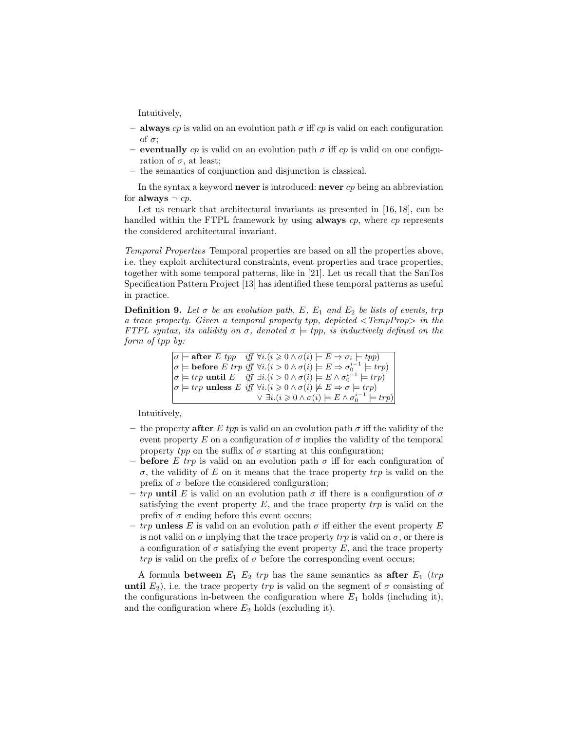Intuitively,

- always cp is valid on an evolution path  $\sigma$  iff cp is valid on each configuration of  $σ$ :
- eventually cp is valid on an evolution path  $\sigma$  iff cp is valid on one configuration of  $\sigma$ , at least:
- the semantics of conjunction and disjunction is classical.

In the syntax a keyword **never** is introduced: **never**  $cp$  being an abbreviation for **always**  $\neg$  *cp*.

Let us remark that architectural invariants as presented in [16, 18], can be handled within the FTPL framework by using always  $cp$ , where  $cp$  represents the considered architectural invariant.

Temporal Properties Temporal properties are based on all the properties above, i.e. they exploit architectural constraints, event properties and trace properties, together with some temporal patterns, like in [21]. Let us recall that the SanTos Specification Pattern Project [13] has identified these temporal patterns as useful in practice.

**Definition 9.** Let  $\sigma$  be an evolution path, E, E<sub>1</sub> and E<sub>2</sub> be lists of events, trp a trace property. Given a temporal property tpp, depicted  $\leq$ TempProp $>$  in the FTPL syntax, its validity on  $\sigma$ , denoted  $\sigma \models tp$ , is inductively defined on the form of tpp by:

| $\sigma \models$ after E tpp iff $\forall i. (i \geq 0 \land \sigma(i) \models E \Rightarrow \sigma_i \models tp)$     |
|------------------------------------------------------------------------------------------------------------------------|
| $\sigma \models$ before E trp iff $\forall i.(i > 0 \land \sigma(i) \models E \Rightarrow \sigma_0^{i-1} \models trp)$ |
| $\sigma \models trp$ until $E$ iff $\exists i.(i > 0 \land \sigma(i) \models E \land \sigma_0^{i-1} \models trp)$      |
| $\sigma \models trp$ unless E iff $\forall i. (i \geq 0 \land \sigma(i) \not\models E \Rightarrow \sigma \models trp)$ |
| $\vee \exists i.(i \geq 0 \wedge \sigma(i) \models E \wedge \sigma_0^{i-1} \models trp)$                               |

Intuitively,

- the property **after** E tpp is valid on an evolution path  $\sigma$  iff the validity of the event property E on a configuration of  $\sigma$  implies the validity of the temporal property tpp on the suffix of  $\sigma$  starting at this configuration;
- **before** E trp is valid on an evolution path  $\sigma$  iff for each configuration of  $\sigma$ , the validity of E on it means that the trace property trp is valid on the prefix of  $\sigma$  before the considered configuration;
- trp until E is valid on an evolution path  $\sigma$  iff there is a configuration of  $\sigma$ satisfying the event property  $E$ , and the trace property  $trp$  is valid on the prefix of  $\sigma$  ending before this event occurs;
- trp unless E is valid on an evolution path  $\sigma$  iff either the event property E is not valid on  $\sigma$  implying that the trace property  $trp$  is valid on  $\sigma$ , or there is a configuration of  $\sigma$  satisfying the event property E, and the trace property  $trp$  is valid on the prefix of  $\sigma$  before the corresponding event occurs;

A formula between  $E_1$   $E_2$  trp has the same semantics as after  $E_1$  (trp until  $E_2$ ), i.e. the trace property trp is valid on the segment of  $\sigma$  consisting of the configurations in-between the configuration where  $E_1$  holds (including it), and the configuration where  $E_2$  holds (excluding it).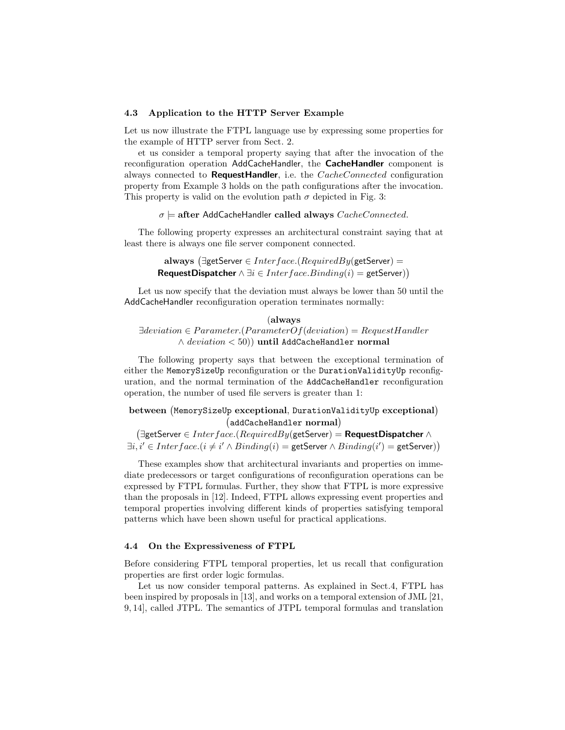#### 4.3 Application to the HTTP Server Example

Let us now illustrate the FTPL language use by expressing some properties for the example of HTTP server from Sect. 2.

et us consider a temporal property saying that after the invocation of the reconfiguration operation AddCacheHandler, the CacheHandler component is always connected to **RequestHandler**, i.e. the *CacheConnected* configuration property from Example 3 holds on the path configurations after the invocation. This property is valid on the evolution path  $\sigma$  depicted in Fig. 3:

 $\sigma \models$  after AddCacheHandler called always CacheConnected.

The following property expresses an architectural constraint saying that at least there is always one file server component connected.

> always  $(\exists$ getServer  $\in$  *Inter face.* (Required By (getServer) = RequestDispatcher  $\land \exists i \in Interface.Binding(i) = getServer)$

Let us now specify that the deviation must always be lower than 50 until the AddCacheHandler reconfiguration operation terminates normally:

(always  $\exists deviation \in Parameter.(ParameterOf(deviation) = RequestHandler)$  $\wedge deviation < 50$ ) until AddCacheHandler normal

The following property says that between the exceptional termination of either the MemorySizeUp reconfiguration or the DurationValidityUp reconfiguration, and the normal termination of the AddCacheHandler reconfiguration operation, the number of used file servers is greater than 1:

## between MemorySizeUp exceptional, DurationValidityUp exceptional addCacheHandler normal

 $($ ∃getServer  $\in$  *Inter face.*( $RequiredBy$ (getServer) = RequestDispatcher  $\wedge$  $\exists i, i' \in Interface.(i \neq i' \land Binding(i) = getServer \land Binding(i') = getServer)$ 

These examples show that architectural invariants and properties on immediate predecessors or target configurations of reconfiguration operations can be expressed by FTPL formulas. Further, they show that FTPL is more expressive than the proposals in [12]. Indeed, FTPL allows expressing event properties and temporal properties involving different kinds of properties satisfying temporal patterns which have been shown useful for practical applications.

#### 4.4 On the Expressiveness of FTPL

Before considering FTPL temporal properties, let us recall that configuration properties are first order logic formulas.

Let us now consider temporal patterns. As explained in Sect.4, FTPL has been inspired by proposals in [13], and works on a temporal extension of JML [21, 9, 14], called JTPL. The semantics of JTPL temporal formulas and translation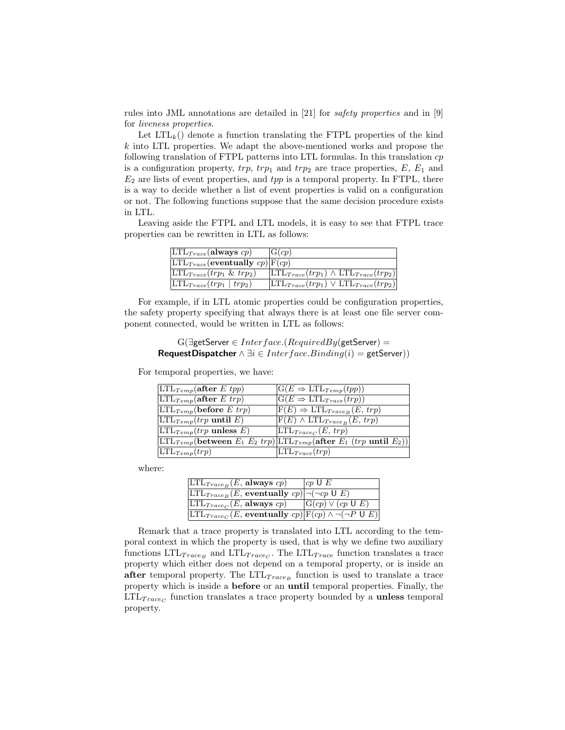rules into JML annotations are detailed in [21] for safety properties and in [9] for liveness properties.

Let  $LTL<sub>k</sub>()$  denote a function translating the FTPL properties of the kind k into LTL properties. We adapt the above-mentioned works and propose the following translation of FTPL patterns into LTL formulas. In this translation  $cp$ is a configuration property,  $trp_1$ ,  $trp_1$  and  $trp_2$  are trace properties, E, E<sub>1</sub> and  $E_2$  are lists of event properties, and tpp is a temporal property. In FTPL, there is a way to decide whether a list of event properties is valid on a configuration or not. The following functions suppose that the same decision procedure exists in LTL.

Leaving aside the FTPL and LTL models, it is easy to see that FTPL trace properties can be rewritten in LTL as follows:

| $\vert$ LTL $_{Trace}$ (always $cp$ )            | G(cp)                                                          |
|--------------------------------------------------|----------------------------------------------------------------|
| $ LTL_{Trace}(\text{eventually } cp) F(cp)$      |                                                                |
| $\vert \text{LTL}_{Trace}(trp_1 \& trp_2) \vert$ | $ \text{LTL}_{Trace}(trp_1) \wedge \text{LTL}_{Trace}(trp_2) $ |
| $ \text{LTL}_{Trace}(trp_1 \mid trp_2) $         | $ \text{LTL}_{Trace}(trp_1) \vee \text{LTL}_{Trace}(trp_2) $   |

For example, if in LTL atomic properties could be configuration properties, the safety property specifying that always there is at least one file server component connected, would be written in LTL as follows:

> $G(\exists$ getServer  $\in$  *Inter face.*(RequiredBy(getServer) = **RequestDispatcher**  $\land \exists i \in Interface.Binding(i) = getServer)$

For temporal properties, we have:

| $LT_{Temp}$ (after E tpp)                   | $G(E \Rightarrow LTL_{Temp}(tpp))$                                                                                       |
|---------------------------------------------|--------------------------------------------------------------------------------------------------------------------------|
| $\text{LTL}_{Temp}(\text{after } E \; trp)$ | $\overline{G(E \Rightarrow LTL_{Trace}(trp))}$                                                                           |
| $\vert$ LTL $_{Temp}$ (before E trp)        | $F(E) \Rightarrow \text{LTL}_{Trace_B}(E, trp)$                                                                          |
| $\text{LTL}_{Temp}(trp \text{ until } E)$   | $ F(E) \wedge LTL_{Trace_B}(E, trp) $                                                                                    |
| $LT_{Temp}(trp$ unless $E)$                 | $\text{LTL}_{Trace_C}(E, \text{trp})$                                                                                    |
|                                             | $ \text{LTL}_{Temp}(\text{between } E_1 \ E_2 \ trp)  \text{LTL}_{Temp}(\text{after } E_1 \ (trp \ \text{until } E_2)) $ |
| $ \text{LTL}_{Temp}(trp) $                  | $ \text{LTL}_{Trace}(trp) $                                                                                              |

where:

| $\vert LTL_{Trace_B}(E, \textbf{always } cp) \vert$                                         | $ cp \cup E $              |
|---------------------------------------------------------------------------------------------|----------------------------|
| $ \text{LTL}_{Trace_B}(E, \text{eventually } cp)  \neg (\neg cp \cup E)$                    |                            |
| $\text{LTL}_{Trace_C}(E, \text{always } cp)$                                                | $ G(cp) \vee (cp \cup E) $ |
| $ \text{LTL}_{Trace_C}(E, \text{eventually } cp)  \text{F}(cp) \wedge \neg(\neg P \cup E) $ |                            |

Remark that a trace property is translated into LTL according to the temporal context in which the property is used, that is why we define two auxiliary functions  $\text{LTL}_{Trace_B}$  and  $\text{LTL}_{Trace_C}$ . The  $\text{LTL}_{Trace}$  function translates a trace property which either does not depend on a temporal property, or is inside an after temporal property. The  $LTL_{Trace_B}$  function is used to translate a trace property which is inside a before or an until temporal properties. Finally, the  $LTL_{Trace_C}$  function translates a trace property bounded by a **unless** temporal property.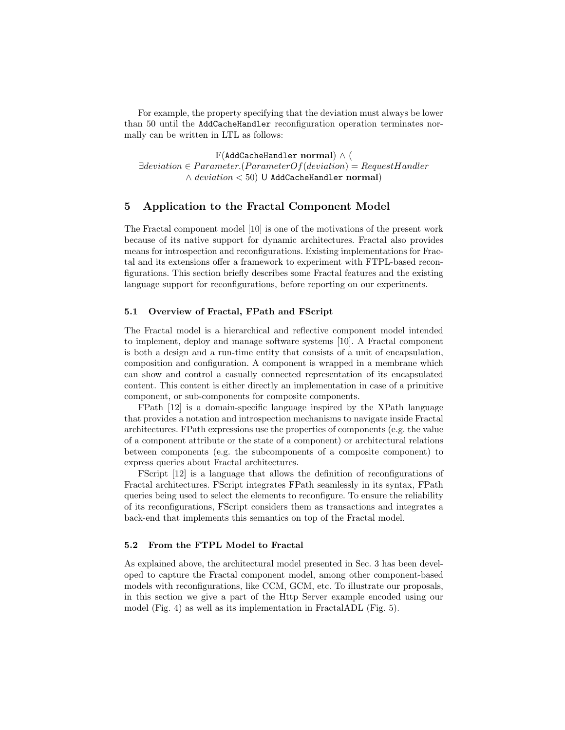For example, the property specifying that the deviation must always be lower than 50 until the AddCacheHandler reconfiguration operation terminates normally can be written in LTL as follows:

 $F(\text{AddCacheHandler normal}) \wedge ($  $\exists deviation \in Parameter.(ParameterOf(deviation) = RequestHandler$  $\wedge deviation < 50$ ) U AddCacheHandler normal)

## 5 Application to the Fractal Component Model

The Fractal component model [10] is one of the motivations of the present work because of its native support for dynamic architectures. Fractal also provides means for introspection and reconfigurations. Existing implementations for Fractal and its extensions offer a framework to experiment with FTPL-based reconfigurations. This section briefly describes some Fractal features and the existing language support for reconfigurations, before reporting on our experiments.

#### 5.1 Overview of Fractal, FPath and FScript

The Fractal model is a hierarchical and reflective component model intended to implement, deploy and manage software systems [10]. A Fractal component is both a design and a run-time entity that consists of a unit of encapsulation, composition and configuration. A component is wrapped in a membrane which can show and control a casually connected representation of its encapsulated content. This content is either directly an implementation in case of a primitive component, or sub-components for composite components.

FPath [12] is a domain-specific language inspired by the XPath language that provides a notation and introspection mechanisms to navigate inside Fractal architectures. FPath expressions use the properties of components (e.g. the value of a component attribute or the state of a component) or architectural relations between components (e.g. the subcomponents of a composite component) to express queries about Fractal architectures.

FScript [12] is a language that allows the definition of reconfigurations of Fractal architectures. FScript integrates FPath seamlessly in its syntax, FPath queries being used to select the elements to reconfigure. To ensure the reliability of its reconfigurations, FScript considers them as transactions and integrates a back-end that implements this semantics on top of the Fractal model.

#### 5.2 From the FTPL Model to Fractal

As explained above, the architectural model presented in Sec. 3 has been developed to capture the Fractal component model, among other component-based models with reconfigurations, like CCM, GCM, etc. To illustrate our proposals, in this section we give a part of the Http Server example encoded using our model (Fig. 4) as well as its implementation in FractalADL (Fig. 5).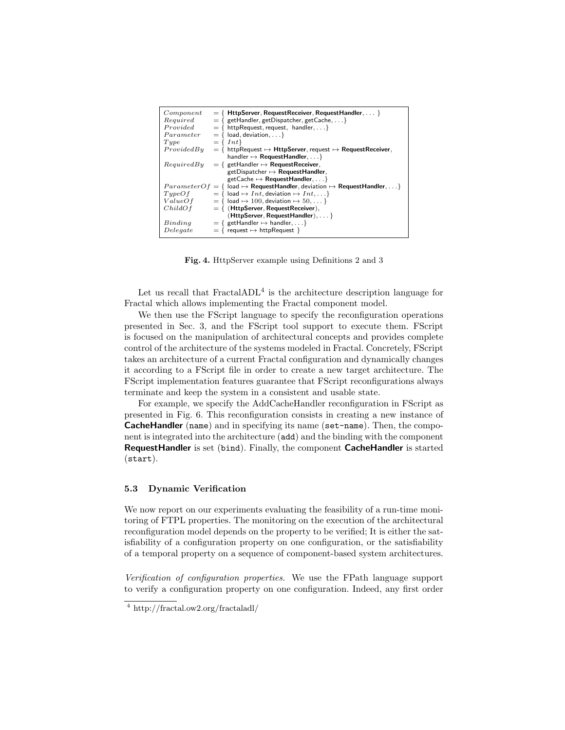| Component     | $=$ { HttpServer, RequestReceiver, RequestHandler,  }                                               |
|---------------|-----------------------------------------------------------------------------------------------------|
| Required      | $=$ { getHandler, getDispatcher, getCache, }                                                        |
| Provided      | $=$ { httpRequest, request, handler, }                                                              |
| Parameter     | $=$ { load, deviation, }                                                                            |
| Type          | $= \{ Int \}$                                                                                       |
| ProvidedBy    | $=$ { httpRequest $\mapsto$ HttpServer, request $\mapsto$ RequestReceiver,                          |
|               | handler $\mapsto$ Request Handler,  }                                                               |
| RequiredBy    | $=$ { getHandler $\mapsto$ RequestReceiver,                                                         |
|               | getDispatcher $\mapsto$ RequestHandler,                                                             |
|               | getCache $\mapsto$ RequestHandler, }                                                                |
|               | $ParameterOf = \{ load \mapsto \text{RequestHandler}, deviation \mapsto \text{RequestHandler},  \}$ |
| TypeOf        | $= \{$ load $\mapsto Int$ , deviation $\mapsto Int$ , }                                             |
| ValueOf       | $=$ { load $\mapsto$ 100, deviation $\mapsto$ 50, }                                                 |
| ChildOf       | $=$ { (HttpServer, RequestReceiver),                                                                |
|               | $(HttpServer, RequestHandler), \ldots$ }                                                            |
| $\it Binding$ | $=$ { getHandler $\mapsto$ handler, }                                                               |
| Delegate      | $=$ { request $\mapsto$ httpRequest }                                                               |

Fig. 4. HttpServer example using Definitions 2 and 3

Let us recall that  $FractalADL<sup>4</sup>$  is the architecture description language for Fractal which allows implementing the Fractal component model.

We then use the FScript language to specify the reconfiguration operations presented in Sec. 3, and the FScript tool support to execute them. FScript is focused on the manipulation of architectural concepts and provides complete control of the architecture of the systems modeled in Fractal. Concretely, FScript takes an architecture of a current Fractal configuration and dynamically changes it according to a FScript file in order to create a new target architecture. The FScript implementation features guarantee that FScript reconfigurations always terminate and keep the system in a consistent and usable state.

For example, we specify the AddCacheHandler reconfiguration in FScript as presented in Fig. 6. This reconfiguration consists in creating a new instance of CacheHandler (name) and in specifying its name (set-name). Then, the component is integrated into the architecture (add) and the binding with the component RequestHandler is set (bind). Finally, the component CacheHandler is started (start).

#### 5.3 Dynamic Verification

We now report on our experiments evaluating the feasibility of a run-time monitoring of FTPL properties. The monitoring on the execution of the architectural reconfiguration model depends on the property to be verified; It is either the satisfiability of a configuration property on one configuration, or the satisfiability of a temporal property on a sequence of component-based system architectures.

Verification of configuration properties. We use the FPath language support to verify a configuration property on one configuration. Indeed, any first order

<sup>4</sup> http://fractal.ow2.org/fractaladl/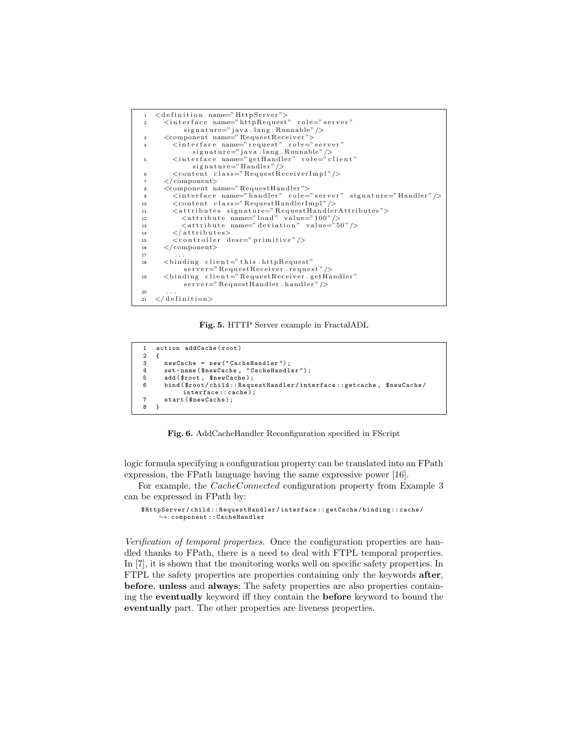```
<definition name="HttpServer">
      \langleinterface name=" httpRequest" role=" server"
 signature="java.lang.Runnable"/><br><component name="RequestReceiver">
4 <interface name="request" role="server"
 signature="java.lang.Runnable"/><br>5 <interface name="getHandler" role="client"
              signature="Handler" />
6 <content class="RequestReceiverImpl"/>
7 </ component>
8 <component name="RequestHandler">
9 <interface name="handler" role="server" signature="Handler"/>
10 <c o n t e n t c l a s s=" R equ estHand l er Imp l " />
11 <attributes signature="RequestHandlerAttributes"><br>12 <attribute name="load" value="100"/>
13 \langle attribute name=" deviation" value="50" />
14 \langle attributes
15 </controller desc=" primitive" /><br>16 </component>
      \langle component>
17
18 <br/> <br/> <br/> <br/> <br/> <br/> client="this . http<br/>Request"
s erver=" Request Receiver . request " /><br>"s chinding client=" Request Receiver . get Handler </r>
            s er v e r = "Request Handler . h and ler "/>
2021 \leq d efinition>
```
Fig. 5. HTTP Server example in FractalADL

```
1 action addCache (root)<br>2 {
\begin{matrix} 2 & 6 \\ 3 & 2 \end{matrix}3 newCache = new ("CacheHandler");<br>4 set-name ($newCache, "CacheHandl
4 set-name ($newCache, "CacheHandler");<br>5 add ($root, $newCache);
5 add ($root, $newCache);<br>6 bind ($root/child:: Reque
        6 bind ( $root / child :: RequestHandler / interface :: getcache , $newCache /
               interface:: cache);
7 start ($newCache);
8 }
```
Fig. 6. AddCacheHandler Reconfiguration specified in FScript

logic formula specifying a configuration property can be translated into an FPath expression, the FPath language having the same expressive power [16].

For example, the CacheConnected configuration property from Example 3 can be expressed in FPath by:

```
$HttpServer / child :: RequestHandler / interface :: getCache / binding :: cache /
      \hookrightarrow component :: CacheHandler
```
Verification of temporal properties. Once the configuration properties are handled thanks to FPath, there is a need to deal with FTPL temporal properties. In [7], it is shown that the monitoring works well on specific safety properties. In FTPL the safety properties are properties containing only the keywords after, before, unless and always; The safety properties are also properties containing the eventually keyword iff they contain the before keyword to bound the eventually part. The other properties are liveness properties.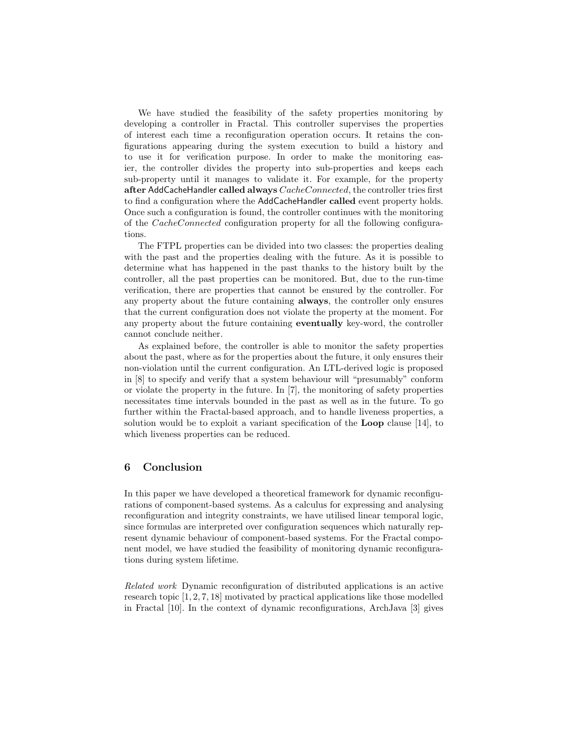We have studied the feasibility of the safety properties monitoring by developing a controller in Fractal. This controller supervises the properties of interest each time a reconfiguration operation occurs. It retains the configurations appearing during the system execution to build a history and to use it for verification purpose. In order to make the monitoring easier, the controller divides the property into sub-properties and keeps each sub-property until it manages to validate it. For example, for the property after AddCacheHandler called always CacheConnected, the controller tries first to find a configuration where the AddCacheHandler called event property holds. Once such a configuration is found, the controller continues with the monitoring of the CacheConnected configuration property for all the following configurations.

The FTPL properties can be divided into two classes: the properties dealing with the past and the properties dealing with the future. As it is possible to determine what has happened in the past thanks to the history built by the controller, all the past properties can be monitored. But, due to the run-time verification, there are properties that cannot be ensured by the controller. For any property about the future containing always, the controller only ensures that the current configuration does not violate the property at the moment. For any property about the future containing eventually key-word, the controller cannot conclude neither.

As explained before, the controller is able to monitor the safety properties about the past, where as for the properties about the future, it only ensures their non-violation until the current configuration. An LTL-derived logic is proposed in [8] to specify and verify that a system behaviour will "presumably" conform or violate the property in the future. In [7], the monitoring of safety properties necessitates time intervals bounded in the past as well as in the future. To go further within the Fractal-based approach, and to handle liveness properties, a solution would be to exploit a variant specification of the Loop clause [14], to which liveness properties can be reduced.

## 6 Conclusion

In this paper we have developed a theoretical framework for dynamic reconfigurations of component-based systems. As a calculus for expressing and analysing reconfiguration and integrity constraints, we have utilised linear temporal logic, since formulas are interpreted over configuration sequences which naturally represent dynamic behaviour of component-based systems. For the Fractal component model, we have studied the feasibility of monitoring dynamic reconfigurations during system lifetime.

Related work Dynamic reconfiguration of distributed applications is an active research topic [1, 2, 7, 18] motivated by practical applications like those modelled in Fractal [10]. In the context of dynamic reconfigurations, ArchJava [3] gives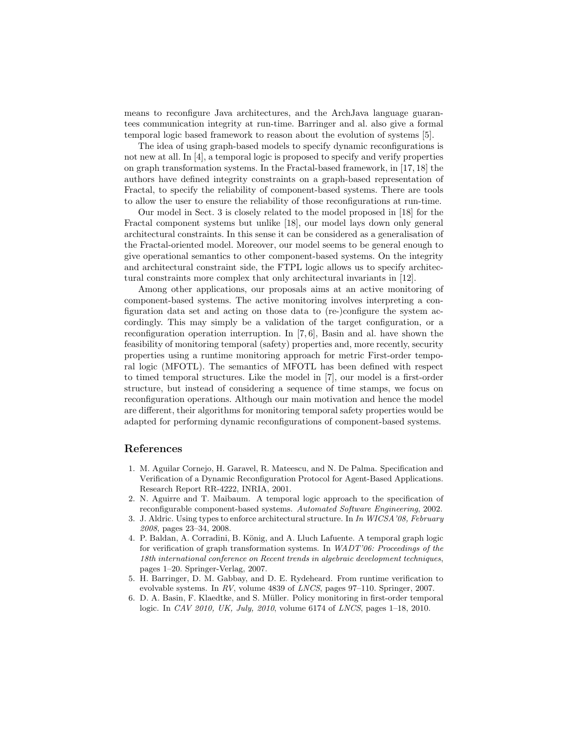means to reconfigure Java architectures, and the ArchJava language guarantees communication integrity at run-time. Barringer and al. also give a formal temporal logic based framework to reason about the evolution of systems [5].

The idea of using graph-based models to specify dynamic reconfigurations is not new at all. In [4], a temporal logic is proposed to specify and verify properties on graph transformation systems. In the Fractal-based framework, in [17, 18] the authors have defined integrity constraints on a graph-based representation of Fractal, to specify the reliability of component-based systems. There are tools to allow the user to ensure the reliability of those reconfigurations at run-time.

Our model in Sect. 3 is closely related to the model proposed in [18] for the Fractal component systems but unlike [18], our model lays down only general architectural constraints. In this sense it can be considered as a generalisation of the Fractal-oriented model. Moreover, our model seems to be general enough to give operational semantics to other component-based systems. On the integrity and architectural constraint side, the FTPL logic allows us to specify architectural constraints more complex that only architectural invariants in [12].

Among other applications, our proposals aims at an active monitoring of component-based systems. The active monitoring involves interpreting a configuration data set and acting on those data to (re-)configure the system accordingly. This may simply be a validation of the target configuration, or a reconfiguration operation interruption. In [7, 6], Basin and al. have shown the feasibility of monitoring temporal (safety) properties and, more recently, security properties using a runtime monitoring approach for metric First-order temporal logic (MFOTL). The semantics of MFOTL has been defined with respect to timed temporal structures. Like the model in [7], our model is a first-order structure, but instead of considering a sequence of time stamps, we focus on reconfiguration operations. Although our main motivation and hence the model are different, their algorithms for monitoring temporal safety properties would be adapted for performing dynamic reconfigurations of component-based systems.

## References

- 1. M. Aguilar Cornejo, H. Garavel, R. Mateescu, and N. De Palma. Specification and Verification of a Dynamic Reconfiguration Protocol for Agent-Based Applications. Research Report RR-4222, INRIA, 2001.
- 2. N. Aguirre and T. Maibaum. A temporal logic approach to the specification of reconfigurable component-based systems. Automated Software Engineering, 2002.
- 3. J. Aldric. Using types to enforce architectural structure. In In WICSA'08, February 2008, pages 23–34, 2008.
- 4. P. Baldan, A. Corradini, B. König, and A. Lluch Lafuente. A temporal graph logic for verification of graph transformation systems. In WADT'06: Proceedings of the 18th international conference on Recent trends in algebraic development techniques, pages 1–20. Springer-Verlag, 2007.
- 5. H. Barringer, D. M. Gabbay, and D. E. Rydeheard. From runtime verification to evolvable systems. In RV, volume 4839 of LNCS, pages 97–110. Springer, 2007.
- 6. D. A. Basin, F. Klaedtke, and S. Müller. Policy monitoring in first-order temporal logic. In *CAV 2010*, *UK, July, 2010*, volume 6174 of *LNCS*, pages 1-18, 2010.